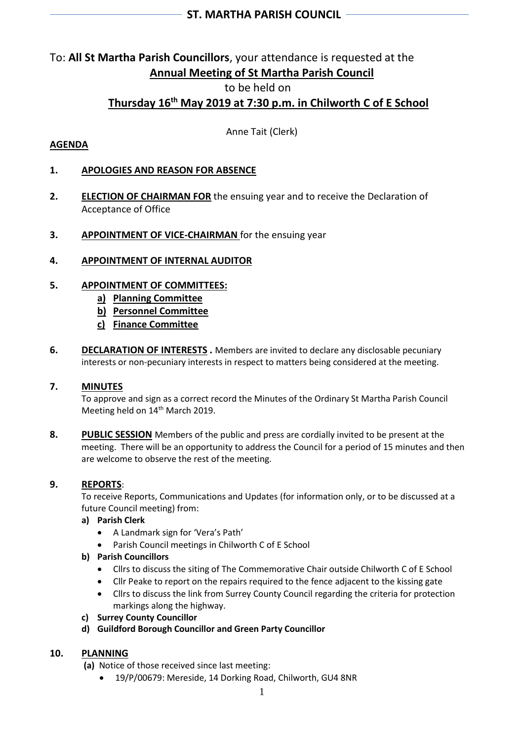## **ST. MARTHA PARISH COUNCIL**

## To: **All St Martha Parish Councillors**, your attendance is requested at the **Annual Meeting of St Martha Parish Council**

## to be held on

# **Thursday 16 th May 2019 at 7:30 p.m. in Chilworth C of E School**

Anne Tait (Clerk)

## **AGENDA**

## **1. APOLOGIES AND REASON FOR ABSENCE**

- **2. ELECTION OF CHAIRMAN FOR** the ensuing year and to receive the Declaration of Acceptance of Office
- **3. APPOINTMENT OF VICE-CHAIRMAN** for the ensuing year

## **4. APPOINTMENT OF INTERNAL AUDITOR**

## **5. APPOINTMENT OF COMMITTEES:**

- **a) Planning Committee**
- **b) Personnel Committee**
- **c) Finance Committee**
- **6. DECLARATION OF INTERESTS.** Members are invited to declare any disclosable pecuniary interests or non-pecuniary interests in respect to matters being considered at the meeting.

## **7. MINUTES**

To approve and sign as a correct record the Minutes of the Ordinary St Martha Parish Council Meeting held on 14<sup>th</sup> March 2019.

**8. PUBLIC SESSION** Members of the public and press are cordially invited to be present at the meeting. There will be an opportunity to address the Council for a period of 15 minutes and then are welcome to observe the rest of the meeting.

## **9. REPORTS**:

To receive Reports, Communications and Updates (for information only, or to be discussed at a future Council meeting) from:

## **a) Parish Clerk**

- A Landmark sign for 'Vera's Path'
- Parish Council meetings in Chilworth C of E School
- **b) Parish Councillors**
	- Cllrs to discuss the siting of The Commemorative Chair outside Chilworth C of E School
	- Cllr Peake to report on the repairs required to the fence adjacent to the kissing gate
	- Cllrs to discuss the link from Surrey County Council regarding the criteria for protection markings along the highway.
- **c) Surrey County Councillor**
- **d) Guildford Borough Councillor and Green Party Councillor**

## **10. PLANNING**

**(a)** Notice of those received since last meeting:

• 19/P/00679: Mereside, 14 Dorking Road, Chilworth, GU4 8NR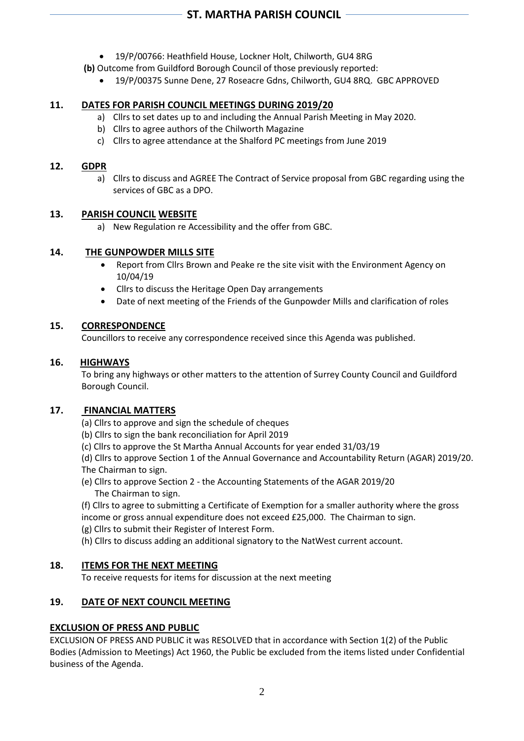- 19/P/00766: Heathfield House, Lockner Holt, Chilworth, GU4 8RG
- **(b)** Outcome from Guildford Borough Council of those previously reported:
	- 19/P/00375 Sunne Dene, 27 Roseacre Gdns, Chilworth, GU4 8RQ. GBC APPROVED

## **11. DATES FOR PARISH COUNCIL MEETINGS DURING 2019/20**

- a) Cllrs to set dates up to and including the Annual Parish Meeting in May 2020.
- b) Cllrs to agree authors of the Chilworth Magazine
- c) Cllrs to agree attendance at the Shalford PC meetings from June 2019

#### **12. GDPR**

a) Cllrs to discuss and AGREE The Contract of Service proposal from GBC regarding using the services of GBC as a DPO.

## **13. PARISH COUNCIL WEBSITE**

a) New Regulation re Accessibility and the offer from GBC.

## **14. THE GUNPOWDER MILLS SITE**

- Report from Cllrs Brown and Peake re the site visit with the Environment Agency on 10/04/19
- Cllrs to discuss the Heritage Open Day arrangements
- Date of next meeting of the Friends of the Gunpowder Mills and clarification of roles

## **15. CORRESPONDENCE**

Councillors to receive any correspondence received since this Agenda was published.

## **16. HIGHWAYS**

To bring any highways or other matters to the attention of Surrey County Council and Guildford Borough Council.

## **17. FINANCIAL MATTERS**

(a) Cllrs to approve and sign the schedule of cheques

- (b) Cllrs to sign the bank reconciliation for April 2019
- (c) Cllrs to approve the St Martha Annual Accounts for year ended 31/03/19

(d) Cllrs to approve Section 1 of the Annual Governance and Accountability Return (AGAR) 2019/20. The Chairman to sign.

(e) Cllrs to approve Section 2 - the Accounting Statements of the AGAR 2019/20 The Chairman to sign.

(f) Cllrs to agree to submitting a Certificate of Exemption for a smaller authority where the gross income or gross annual expenditure does not exceed £25,000. The Chairman to sign.

(g) Cllrs to submit their Register of Interest Form.

(h) Cllrs to discuss adding an additional signatory to the NatWest current account.

## **18. ITEMS FOR THE NEXT MEETING**

To receive requests for items for discussion at the next meeting

## **19. DATE OF NEXT COUNCIL MEETING**

## **EXCLUSION OF PRESS AND PUBLIC**

EXCLUSION OF PRESS AND PUBLIC it was RESOLVED that in accordance with Section 1(2) of the Public Bodies (Admission to Meetings) Act 1960, the Public be excluded from the items listed under Confidential business of the Agenda.